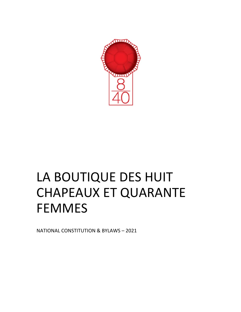

# LA BOUTIQUE DES HUIT CHAPEAUX ET QUARANTE FEMMES

NATIONAL CONSTITUTION & BYLAWS – 2021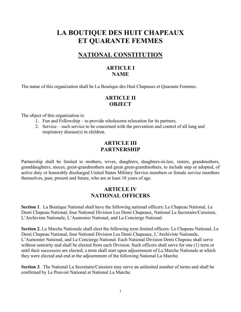# **LA BOUTIQUE DES HUIT CHAPEAUX ET QUARANTE FEMMES**

# **NATIONAL CONSTITUTION**

# **ARTICLE I NAME**

The name of this organization shall be La Boutique des Huit Chapeaux et Quarante Femmes.

# **ARTICLE II OBJECT**

The object of this organization is:

- 1. Fun and Fellowship to provide wholesome relaxation for its partners.
- 2. Service such service to be concerned with the prevention and control of all lung and respiratory disease(s) in children.

## **ARTICLE III PARTNERSHIP**

Partnership shall be limited to mothers, wives, daughters, daughters-in-law, sisters, grandmothers, granddaughters, nieces, great-grandmothers and great great-grandmothers, to include step or adopted, of active duty or honorably discharged United States Military Service members or female service members themselves, past, present and future, who are at least 18 years of age.

## **ARTICLE IV NATIONAL OFFICERS**

**Section 1**. La Boutique National shall have the following national officers: Le Chapeau National, Le Demi Chapeau National, four National Division Les Demi Chapeaux, National La Secretaire/Caissiere, L'Archiviste Nationale, L'Aumonier National, and La Concierge National.

**Section 2.** La Marche Nationale shall elect the following term limited officers: Le Chapeau National, Le Demi Chapeau National, four National Division Les Demi Chapeaux, L'Archiviste Nationale, L'Aumonier National, and La Concierge National. Each National Division Demi Chapeau shall serve without seniority and shall be elected from each Division. Such officers shall serve for one (1) term or until their successors are elected; a term shall start upon adjournment of La Marche Nationale at which they were elected and end at the adjournment of the following National La Marche.

**Section 3***.* The National La Secretaire/Caissiere may serve an unlimited number of terms and shall be confirmed by Le Pouvoir National at National La Marche.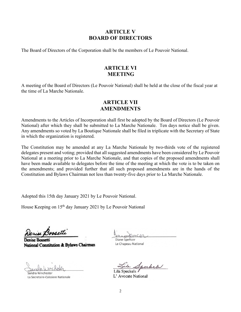## **ARTICLE V BOARD OF DIRECTORS**

The Board of Directors of the Corporation shall be the members of Le Pouvoir National.

## **ARTICLE VI MEETING**

A meeting of the Board of Directors (Le Pouvoir National) shall be held at the close of the fiscal year at the time of La Marche Nationale.

### **ARTICLE VII AMENDMENTS**

Amendments to the Articles of Incorporation shall first be adopted by the Board of Directors (Le Pouvoir National) after which they shall be submitted to La Marche Nationale. Ten days notice shall be given. Any amendments so voted by La Boutique Nationale shall be filed in triplicate with the Secretary of State in which the organization is registered.

The Constitution may be amended at any La Marche Nationale by two-thirds vote of the registered delegates present and voting; provided that all suggested amendments have been considered by Le Pouvoir National at a meeting prior to La Marche Nationale, and that copies of the proposed amendments shall have been made available to delegates before the time of the meeting at which the vote is to be taken on the amendments; and provided further that all such proposed amendments are in the hands of the Constitution and Bylaws Chairman not less than twenty-five days prior to La Marche Nationale.

Adopted this 15th day January 2021 by Le Pouvoir National.

House Keeping on 15<sup>th</sup> day January 2021 by Le Pouvoir National

**Denise Bossetti** National Constitution & Bylaws Chairman

Sandra Winchester La Secretaire-Caissiere Nationale

Diane Spehcer

Le Chapeau National

berkel Lila Speckels

L' Avocate National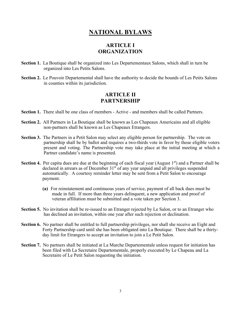# **NATIONAL BYLAWS**

## **ARTICLE I ORGANIZATION**

- **Section 1.** La Boutique shall be organized into Les Departementaux Salons, which shall in turn be organized into Les Petits Salons.
- **Section 2.** Le Pouvoir Departemental shall have the authority to decide the bounds of Les Petits Salons in counties within its jurisdiction.

## **ARTICLE II PARTNERSHIP**

**Section 1.** There shall be one class of members - Active - and members shall be called Partners.

- **Section 2.** All Partners in La Boutique shall be known as Les Chapeaux Americains and all eligible non-partners shall be known as Les Chapeaux Etrangers.
- **Section 3.** The Partners in a Petit Salon may select any eligible person for partnership. The vote on partnership shall be by ballot and requires a two-thirds vote in favor by those eligible voters present and voting. The Partnership vote may take place at the initial meeting at which a Partner candidate's name is presented.
- **Section 4.** Per capita dues are due at the beginning of each fiscal year (August 1<sup>st</sup>) and a Partner shall be declared in arrears as of December  $31<sup>st</sup>$  of any year unpaid and all privileges suspended automatically. A courtesy reminder letter may be sent from a Petit Salon to encourage payment.
	- **(a)** For reinstatement and continuous years of service, payment of all back dues must be made in full. If more than three years delinquent, a new application and proof of veteran affiliation must be submitted and a vote taken per Section 3.
- **Section 5.** No invitation shall be re-issued to an Etranger rejected by Le Salon, or to an Etranger who has declined an invitation, within one year after such rejection or declination.
- **Section 6.** No partner shall be entitled to full partnership privileges, nor shall she receive an Eight and Forty Partnership card until she has been obligated into La Boutique. There shall be a thirtyday limit for Etrangers to accept an invitation to join a Le Petit Salon.
- **Section 7.** No partners shall be initiated at La Marche Departementale unless request for initiation has been filed with La Secretaire Departementale, properly executed by Le Chapeau and La Secretaire of Le Petit Salon requesting the initiation.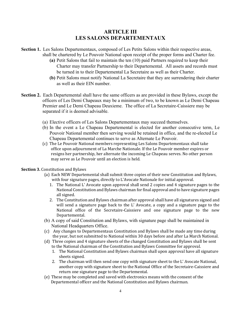# **ARTICLE III LES SALONS DEPARTEMENTAUX**

- **Section 1.** Les Salons Departementaux, composed of Les Petits Salons within their respective areas, shall be chartered by Le Pouvoir National upon receipt of the proper forms and Charter fee.
	- **(a)** Petit Salons that fail to maintain the ten (10) paid Partners required to keep their Charter may transfer Partnership to their Departemental. All assets and records must be turned in to their Departemental La Secretaire as well as their Charter.
	- **(b)** Petit Salons must notify National La Secretaire that they are surrendering their charter as well as their EIN number.
- **Section 2.** Each Departemental shall have the same officers as are provided in these Bylaws, except the officers of Les Demi Chapeaux may be a minimum of two, to be known as Le Demi Chapeau Premier and Le Demi Chapeau Deuxieme. The office of La Secretaire-Caissiere may be separated if it is deemed advisable.
	- (a) Elective officers of Les Salons Departementaux may succeed themselves.
	- (b) In the event a Le Chapeau Departemental is elected for another consecutive term, Le Pouvoir National member then serving would be retained in office, and the re-elected Le Chapeau Departemental continues to serve as Alternate Le Pouvoir.
	- (c) The Le Pouvoir National members representing Les Salons Departementaux shall take office upon adjournment of La Marche Nationale. If the Le Pouvoir member expires or resigns her partnership, her alternate the incoming Le Chapeau serves. No other person may serve as Le Pouvoir until an election is held.

#### **Section 3.** Constitution and Bylaws

- (a) Each NEW Departemental shall submit three copies of their new Constitution and Bylaws, with four signature pages, directly to L'Avocate Nationale for initial approval.
	- 1. The National L' Avocate upon approval shall send 2 copies and 4 signature pages to the National Constitution and Bylaws chairman for final approval and to have signature pages all signed.
	- 2. The Constitution and Bylaws chairman after approval shall have all signatures signed and will send a signature page back to the L' Avocate, a copy and a signature page to the National office of the Secretaire-Caissiere and one signature page to the new Departemental.
- (b) A copy of said Constitution and Bylaws, with signature page shall be maintained in National Headquarters Office.
- (c) Any changes to Departementaux Constitution and Bylaws shall be made any time during the year, but not submitted to National within 30 days before and after La March National.
- (d) Three copies and 4 signature sheets of the changed Constitution and Bylaws shall be sent to the National chairman of the Constitution and Bylaws Committee for approval.
	- 1. The National Constitution and Bylaws chairman shall upon approval have all signature sheets signed.
	- 2. The chairman will then send one copy with signature sheet to the L' Avocate National, another copy with signature sheet to the National Office of the Secretaire-Caissiere and return one signature page to the Departemental.
- (e) These may be completed and saved with electronics means with the consent of the Departemental officer and the National Constitution and Bylaws chairman.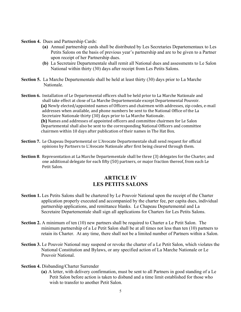- **Section 4.** Dues and Partnership Cards:
	- **(a)** Annual partnership cards shall be distributed by Les Secretaries Departementaux to Les Petits Salons on the basis of previous year's partnership and are to be given to a Partner upon receipt of her Partnership dues.
	- **(b)** La Secretaire Departementale shall remit all National dues and assessments to Le Salon National within thirty (30) days after receipt from Les Petits Salons.
- **Section 5.** La Marche Departementale shall be held at least thirty (30) days prior to La Marche Nationale.
- **Section 6.** Installation of Le Departemental officers shall be held prior to La Marche Nationale and shall take effect at close of La Marche Departementale except Departemental Pouvoir. **(a)** Newly elected/appointed names of Officers and chairmen with addresses, zip codes, e-mail addresses when available, and phone numbers be sent to the National Office of the La Secretaire Nationale thirty (30) days prior to La Marche Nationale. **(b)** Names and addresses of appointed officers and committee chairmen for Le Salon Departemental shall also be sent to the corresponding National Officers and committee chairmen within 10 days after publication of their names in The Hat Box.
- **Section 7.** Le Chapeau Departemental or L'Avocate Departementale shall send request for official opinions by Partners to L'Avocate Nationale after first being cleared through them.
- **Section 8**. Representation at La Marche Departementale shall be three (3) delegates for the Charter, and one additional delegate for each fifty (50) partners, or major fraction thereof, from each Le Petit Salon.

## **ARTICLE IV LES PETITS SALONS**

- **Section 1.** Les Petits Salons shall be chartered by Le Pouvoir National upon the receipt of the Charter application properly executed and accompanied by the charter fee, per capita dues, individual partnership applications, and remittance blanks. Le Chapeau Departemental and La Secretaire Departementale shall sign all applications for Charters for Les Petits Salons.
- **Section 2.** A minimum of ten (10) new partners shall be required to Charter a Le Petit Salon. The minimum partnership of a Le Petit Salon shall be at all times not less than ten (10) partners to retain its Charter. At any time, there shall not be a limited number of Partners within a Salon.
- **Section 3.** Le Pouvoir National may suspend or revoke the charter of a Le Petit Salon, which violates the National Constitution and Bylaws, or any specified action of La Marche Nationale or Le Pouvoir National.
- **Section 4.** Disbanding/Charter Surrender
	- **(a)** A letter, with delivery confirmation, must be sent to all Partners in good standing of a Le Petit Salon before action is taken to disband and a time limit established for those who wish to transfer to another Petit Salon.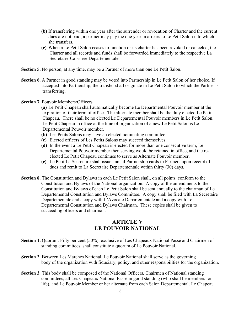- **(b)** If transferring within one year after the surrender or revocation of Charter and the current dues are not paid; a partner may pay the one year in arrears to Le Petit Salon into which she transfers.
- **(c)** When a Le Petit Salon ceases to function or its charter has been revoked or canceled, the Charter and all records and funds shall be forwarded immediately to the respective La Secretaire-Caissiere Departementale.
- **Section 5.** No person, at any time, may be a Partner of more than one Le Petit Salon.
- **Section 6.** A Partner in good standing may be voted into Partnership in Le Petit Salon of her choice. If accepted into Partnership, the transfer shall originate in Le Petit Salon to which the Partner is transferring.
- **Section 7.** Pouvoir Members/Officers

**(a)** Le Petit Chapeau shall automatically become Le Departmental Pouvoir member at the expiration of their term of office. The alternate member shall be the duly elected Le Petit Chapeau. There shall be no elected Le Departemental Pouvoir members in Le Petit Salon. Le Petit Chapeau in office at the time of organization of a new Le Petit Salon is Le Departemental Pouvoir member.

- **(b)** Les Petits Salons may have an elected nominating committee.
- **(c)** Elected officers of Les Petits Salons may succeed themselves.
- **(d)** In the event a Le Petit Chapeau is elected for more than one consecutive term, Le Departemental Pouvoir member then serving would be retained in office, and the reelected Le Petit Chapeau continues to serve as Alternate Pouvoir member.
- **(e)** Le Petit La Secretaire shall issue annual Partnership cards to Partners upon receipt of dues and remit to La Secretaire Departementale within thirty (30) days.
- **Section 8.** The Constitution and Bylaws in each Le Petit Salon shall, on all points, conform to the Constitution and Bylaws of the National organization. A copy of the amendments to the Constitution and Bylaws of each Le Petit Salon shall be sent annually to the chairman of Le Departemental Constitution and Bylaws Committee. A copy shall be filed with La Secretaire Departementale and a copy with L'Avocate Departementale and a copy with Le Departemental Constitution and Bylaws Chairman. These copies shall be given to succeeding officers and chairman.

## **ARTICLE V LE POUVOIR NATIONAL**

- **Section 1.** Quorum: Fifty per cent (50%), exclusive of Les Chapeaux National Passé and Chairmen of standing committees, shall constitute a quorum of Le Pouvoir National.
- **Section 2**. Between Les Marches National, Le Pouvoir National shall serve as the governing body of the organization with fiduciary, policy, and other responsibilities for the organization.
- **Section 3**. This body shall be composed of the National Officers, Chairmen of National standing committees, all Les Chapeaux National Passé in good standing (who shall be members for life), and Le Pouvoir Member or her alternate from each Salon Departemental. Le Chapeau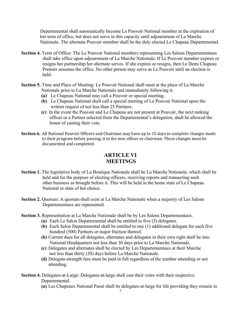Departemental shall automatically become Le Pouvoir National member at the expiration of her term of office, but does not serve in this capacity until adjournment of La Marche Nationale. The alternate Pouvoir member shall be the duly elected Le Chapeau Departemental.

- **Section 4.** Term of Office: The Le Pouvoir National members representing Les Salons Departementaux shall take office upon adjournment of La Marche Nationale. If Le Pouvoir member expires or resigns her partnership her alternate serves. If she expires or resigns, then Le Demi Chapeau Premier assumes the office. No other person may serve as Le Pouvoir until an election is held.
- **Section 5.** Time and Place of Meeting: Le Pouvoir National shall meet at the place of La Marche Nationale prior to La Marche Nationale and immediately following it.
	- **(a)** Le Chapeau National may call a Pouvoir or special meeting.
	- **(b)** Le Chapeau National shall call a special meeting of Le Pouvoir National upon the written request of not less than 25 Partners.
	- **(c)** In the event the Pouvoir and Le Chapeau are not present at Pouvoir, the next ranking officer or a Partner selected from the Departemental's delegation, shall be allowed the honor of casting their vote.
- **Section 6.** All National Pouvoir Officers and Chairman may have up to 15 days to complete changes made to their program before passing, it to the new officer or chairman. These changes must be documented and completed.

## **ARTICLE VI MEETINGS**

- **Section 1.** The legislative body of La Boutique Nationale shall be La Marche Nationale, which shall be held and for the purpose of electing officers, receiving reports and transacting such other business as brought before it. This will be held in the home state of Le Chapeau National or state of her choice.
- **Section 2.** Quorum: A quorum shall exist at La Marche Nationale when a majority of Les Salons Departementaux are represented.
- **Section 3.** Representation at La Marche Nationale shall be by Les Salons Departementaux.
	- **(a)** Each Le Salon Departemental shall be entitled to five (5) delegates.
	- **(b)** Each Salon Departemental shall be entitled to one (1) additional delegate for each five hundred (500) Partners or major fraction thereof.
	- **(b)** Current dues for all delegates, alternates and delegates in their own right shall be into National Headquarters not less than 30 days prior to La Marche Nationale.
	- **(c)** Delegates and alternates shall be elected by Les Departementaux at their Marche not less than thirty (30) days before La Marche Nationale.
	- **(d)** Delegate-strength fees must be paid in full regardless of the number attending or not attending.
- **Section 4.** Delegates-at-Large: Delegates-at-large shall cast their votes with their respective Departemental.

**(a)** Les Chapeaux National Passé shall be delegates-at-large for life providing they remain in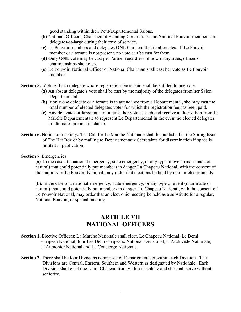good standing within their Petit/Departemental Salons.

- **(b)** National Officers, Chairmen of Standing Committees and National Pouvoir members are delegates-at-large during their term of service.
- **(c)** Le Pouvoir members and delegates **ONLY** are entitled to alternates. If Le Pouvoir member or alternate is not present, no vote can be cast for them.
- **(d)** Only **ONE** vote may be cast per Partner regardless of how many titles, offices or chairmanships she holds.
- **(e)** Le Pouvoir, National Officer or National Chairman shall cast her vote as Le Pouvoir member.
- **Section 5.** Voting: Each delegate whose registration fee is paid shall be entitled to one vote.
	- **(a)** An absent delegate's vote shall be cast by the majority of the delegates from her Salon Departemental.
	- **(b)** If only one delegate or alternate is in attendance from a Departemental, she may cast the total number of elected delegates votes for which the registration fee has been paid.
	- **(c)** Any delegates-at-large must relinquish her vote as such and receive authorization from La Marche Departementale to represent Le Departemental in the event no elected delegates or alternates are in attendance.
- **Section 6.** Notice of meetings: The Call for La Marche Nationale shall be published in the Spring Issue of The Hat Box or by mailing to Departementaux Secretaires for dissemination if space is limited in publication.

**Section 7**. Emergencies

(a). In the case of a national emergency, state emergency, or any type of event (man-made or natural) that could potentially put members in danger La Chapeau National, with the consent of the majority of Le Pouvoir National, may order that elections be held by mail or electronically.

(b). In the case of a national emergency, state emergency, or any type of event (man-made or natural) that could potentially put members in danger, La Chapeau National, with the consent of Le Pouvoir National, may order that an electronic meeting be held as a substitute for a regular, National Pouvoir, or special meeting.

# **ARTICLE VII NATIONAL OFFICERS**

- **Section 1.** Elective Officers: La Marche Nationale shall elect, Le Chapeau National, Le Demi Chapeau National, four Les Demi Chapeaux National-Divisional, L'Archiviste Nationale, L'Aumonier National and La Concierge Nationale.
- **Section 2.** There shall be four Divisions comprised of Departementaux within each Division. The Divisions are Central, Eastern, Southern and Western as designated by Nationale. Each Division shall elect one Demi Chapeau from within its sphere and she shall serve without seniority.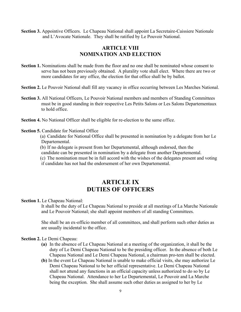**Section 3.** Appointive Officers. Le Chapeau National shall appoint La Secretaire-Caissiere Nationale and L'Avocate Nationale. They shall be ratified by Le Pouvoir National.

## **ARTICLE VIII NOMINATION AND ELECTION**

- **Section 1.** Nominations shall be made from the floor and no one shall be nominated whose consent to serve has not been previously obtained. A plurality vote shall elect. Where there are two or more candidates for any office, the election for that office shall be by ballot.
- **Section 2.** Le Pouvoir National shall fill any vacancy in office occurring between Les Marches National.
- **Section 3.** All National Officers, Le Pouvoir National members and members of Standing Committees must be in good standing in their respective Les Petits Salons or Les Salons Departementaux to hold office.
- **Section 4.** No National Officer shall be eligible for re-election to the same office.

#### **Section 5.** Candidate for National Office

(a) Candidate for National Office shall be presented in nomination by a delegate from her Le Departemental.

(b) If no delegate is present from her Departemental, although endorsed, then the

candidate can be presented in nomination by a delegate from another Departemental.

(c) The nomination must be in full accord with the wishes of the delegates present and voting if candidate has not had the endorsement of her own Departemental.

# **ARTICLE IX DUTIES OF OFFICERS**

**Section 1.** Le Chapeau National:

 It shall be the duty of Le Chapeau National to preside at all meetings of La Marche Nationale and Le Pouvoir National; she shall appoint members of all standing Committees.

 She shall be an ex-officio member of all committees, and shall perform such other duties as are usually incidental to the office.

#### **Section 2.** Le Demi Chapeau:

- **(a)** In the absence of Le Chapeau National at a meeting of the organization, it shall be the duty of Le Demi Chapeau National to be the presiding officer. In the absence of both Le Chapeau National and Le Demi Chapeau National, a chairman pro-tem shall be elected.
- **(b)** In the event Le Chapeau National is unable to make official visits, she may authorize Le Demi Chapeau National to be her official representative. Le Demi Chapeau National shall not attend any functions in an official capacity unless authorized to do so by Le Chapeau National. Attendance to her Le Departemental, Le Pouvoir and La Marche being the exception. She shall assume such other duties as assigned to her by Le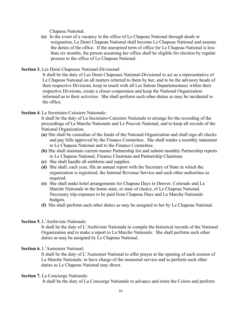Chapeau National.

**(c)** In the event of a vacancy in the office of Le Chapeau National through death or resignation, Le Demi Chapeau National shall become Le Chapeau National and assume the duties of the office. If the unexpired term of office for Le Chapeau National is less than six months, the person assuming her office shall be eligible for election by regular process to the office of Le Chapeau National.

#### **Section 3.** Les Demi Chapeaux National-Divisional:

 It shall be the duty of Les Demi Chapeaux National-Divisional to act as a representative of Le Chapeau National on all matters referred to them by her, and to be the advisory heads of their respective Divisions, keep in touch with all Les Salons Departementaux within their respective Divisions, create a closer cooperation and keep the National Organization informed as to their activities. She shall perform such other duties as may be incidental to the office.

#### **Section 4.** La Secretaire-Caissiere Nationale:

 It shall be the duty of La Secretaire-Caissiere Nationale to arrange for the recording of the proceedings of La Marche Nationale and Le Pouvoir National, and to keep all records of the National Organization.

- **(a)** She shall be custodian of the funds of the National Organization and shall sign all checks and pay bills approved by the Finance Committee. She shall render a monthly statement to Le Chapeau National and to the Finance Committee.
- **(b)** She shall maintain current master Partnership list and submit monthly Partnership reports to Le Chapeau National, Finance Chairman and Partnership Chairman.
- **(c)** She shall handle all emblems and supplies.
- **(d)** She shall, each year, file an annual report with the Secretary of State in which the organization is registered, the Internal Revenue Service and such other authorities as required.
- **(e)** She shall make hotel arrangements for Chapeau Days in Denver, Colorado and La Marche Nationale in the home state, or state of choice, of Le Chapeau National. Necessary trip expenses to be paid from Chapeau Days and La Marche Nationale budgets.
- **(f)** She shall perform such other duties as may be assigned to her by Le Chapeau National.

#### **Section 5.** L'Archiviste Nationale:

 It shall be the duty of L'Archiviste Nationale to compile the historical records of the National Organization and to make a report to La Marche Nationale. She shall perform such other duties as may be assigned by Le Chapeau National.

#### **Section 6. L'Aumonier National:**

 It shall be the duty of L'Aumonier National to offer prayer at the opening of each session of La Marche Nationale, to have charge of the memorial service and to perform such other duties as Le Chapeau National may direct.

#### **Section 7.** La Concierge Nationale:

It shall be the duty of La Concierge Nationale to advance and retire the Colors and perform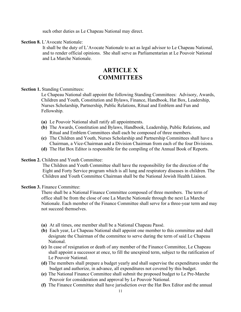such other duties as Le Chapeau National may direct.

**Section 8.** L'Avocate Nationale:

 It shall be the duty of L'Avocate Nationale to act as legal advisor to Le Chapeau National, and to render official opinions. She shall serve as Parliamentarian at Le Pouvoir National and La Marche Nationale.

# **ARTICLE X COMMITTEES**

#### **Section 1. Standing Committees:**

 Le Chapeau National shall appoint the following Standing Committees: Advisory, Awards, Children and Youth, Constitution and Bylaws, Finance, Handbook, Hat Box, Leadership, Nurses Scholarship, Partnership, Public Relations, Ritual and Emblem and Fun and Fellowship.

- **(a)** Le Pouvoir National shall ratify all appointments.
- **(b)** The Awards, Constitution and Bylaws, Handbook, Leadership, Public Relations, and Ritual and Emblem Committees shall each be composed of three members.
- **(c)** The Children and Youth, Nurses Scholarship and Partnership Committees shall have a Chairman, a Vice-Chairman and a Division Chairman from each of the four Divisions.
- **(d)** The Hat Box Editor is responsible for the compiling of the Annual Book of Reports.

#### **Section 2.** Children and Youth Committee:

 The Children and Youth Committee shall have the responsibility for the direction of the Eight and Forty Service program which is all lung and respiratory diseases in children. The Children and Youth Committee Chairman shall be the National Jewish Health Liaison.

#### **Section 3.** Finance Committee:

 There shall be a National Finance Committee composed of three members. The term of office shall be from the close of one La Marche Nationale through the next La Marche Nationale. Each member of the Finance Committee shall serve for a three-year term and may not succeed themselves.

- **(a)** At all times, one member shall be a National Chapeau Passé.
- **(b)** Each year, Le Chapeau National shall appoint one member to this committee and shall designate the Chairman of the committee to serve during the term of said Le Chapeau National.
- **(c)** In case of resignation or death of any member of the Finance Committee, Le Chapeau shall appoint a successor at once, to fill the unexpired term, subject to the ratification of Le Pouvoir National.
- **(d)** The members shall prepare a budget yearly and shall supervise the expenditures under the budget and authorize, in advance, all expenditures not covered by this budget.
- **(e)** The National Finance Committee shall submit the proposed budget to Le Pre-Marche Pouvoir for consideration and approval by Le Pouvoir National.
- **(f)** The Finance Committee shall have jurisdiction over the Hat Box Editor and the annual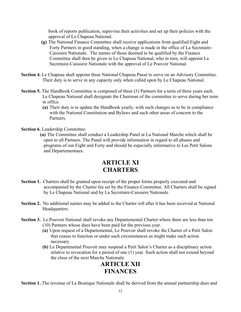book of reports publication, supervise their activities and set up their policies with the approval of Le Chapeau National.

- **(g)** The National Finance Committee shall receive applications from qualified Eight and Forty Partners in good standing, when a change is made in the office of La Secretaire- Caissiere Nationale. The names of those deemed to be qualified by the Finance Committee shall then be given to Le Chapeau National, who in turn, will appoint La Secretaire-Caissiere Nationale with the approval of Le Pouvoir National.
- **Section 4.** Le Chapeau shall appoint three National Chapeau Passé to serve on an Advisory Committee. Their duty is to serve in any capacity only when called upon by Le Chapeau National.
- **Section 5.** The Handbook Committee is composed of three (3) Partners for a term of three years each. Le Chapeau National shall designate the Chairman of the committee to serve during her term in office.
	- **(a)** Their duty is to update the Handbook yearly, with such changes as to be in compliance with the National Constitution and Bylaws and such other areas of concern to the Partners.

**Section 6.** Leadership Committee:

**(a)** The Committee shall conduct a Leadership Panel at La National Marche which shall be open to all Partners. The Panel will provide information in regard to all phases and programs of our Eight and Forty and should be especially informative to Les Petit Salons and Departementaux.

# **ARTICLE XI CHARTERS**

- **Section 1.** Charters shall be granted upon receipt of the proper forms properly executed and accompanied by the Charter fee set by the Finance Committee. All Charters shall be signed by Le Chapeau National and by La Secretaire-Caissiere Nationale.
- **Section 2.** No additional names may be added to the Charter roll after it has been received at National Headquarters.
- **Section 3.** Le Pouvoir National shall revoke any Departemental Charter where there are less than ten (10) Partners whose dues have been paid for the previous year.
	- **(a)** Upon request of a Departemental, Le Pouvoir shall revoke the Charter of a Petit Salon that ceases to function or under such circumstances as might make such action necessary.
	- **(b)** Le Departmental Pouvoir may suspend a Petit Salon's Charter as a disciplinary action relative to revocation for a period of one (1) year. Such action shall not extend beyond the close of the next Marche Nationale.

# **ARTICLE XII FINANCES**

**Section 1.** The revenue of La Boutique Nationale shall be derived from the annual partnership dues and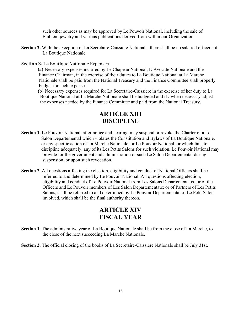such other sources as may be approved by Le Pouvoir National, including the sale of Emblem jewelry and various publications derived from within our Organization.

- **Section 2.** With the exception of La Secretaire-Caissiere Nationale, there shall be no salaried officers of La Boutique Nationale.
- **Section 3.** La Boutique Nationale Expenses
	- **(a)** Necessary expenses incurred by Le Chapeau National, L'Avocate Nationale and the Finance Chairman, in the exercise of their duties to La Boutique National at La Marché Nationale shall be paid from the National Treasury and the Finance Committee shall properly budget for such expense.
	- **(b)** Necessary expenses required for La Secretaire-Caissiere in the exercise of her duty to La Boutique National at La Marché Nationale shall be budgeted and if / when necessary adjust the expenses needed by the Finance Committee and paid from the National Treasury.

# **ARTICLE XIII DISCIPLINE**

- **Section 1.** Le Pouvoir National, after notice and hearing, may suspend or revoke the Charter of a Le Salon Departemental which violates the Constitution and Bylaws of La Boutique Nationale, or any specific action of La Marche Nationale, or Le Pouvoir National, or which fails to discipline adequately, any of its Les Petits Salons for such violation. Le Pouvoir National may provide for the government and administration of such Le Salon Departemental during suspension, or upon such revocation.
- **Section 2.** All questions affecting the election, eligibility and conduct of National Officers shall be referred to and determined by Le Pouvoir National. All questions affecting election, eligibility and conduct of Le Pouvoir National from Les Salons Departementaux, or of the Officers and Le Pouvoir members of Les Salon Departementaux or of Partners of Les Petits Salons, shall be referred to and determined by Le Pouvoir Departemental of Le Petit Salon involved, which shall be the final authority thereon.

# **ARTICLE XIV FISCAL YEAR**

- **Section 1.** The administrative year of La Boutique Nationale shall be from the close of La Marche, to the close of the next succeeding La Marche Nationale.
- **Section 2.** The official closing of the books of La Secretaire-Caissiere Nationale shall be July 31st.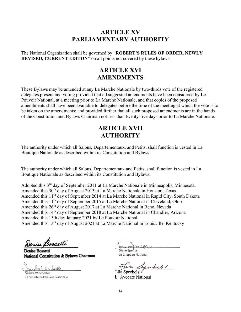# **ARTICLE XV PARLIAMENTARY AUTHORITY**

The National Organization shall be governed by "**ROBERT'S RULES OF ORDER, NEWLY REVISED, CURRENT EDITON"** on all points not covered by these bylaws.

# **ARTICLE XVI AMENDMENTS**

These Bylaws may be amended at any La Marche Nationale by two-thirds vote of the registered delegates present and voting provided that all suggested amendments have been considered by Le Pouvoir National, at a meeting prior to La Marche Nationale, and that copies of the proposed amendments shall have been available to delegates before the time of the meeting at which the vote is to be taken on the amendments; and provided further that all such proposed amendments are in the hands of the Constitution and Bylaws Chairman not less than twenty-five days prior to La Marche Nationale.

# **ARTICLE XVII AUTHORITY**

The authority under which all Salons, Departementaux, and Petits, shall function is vested in La Boutique Nationale as described within its Constitution and Bylaws.

The authority under which all Salons, Departementaux and Petits, shall function is vested in La Boutique Nationale as described within its Constitution and Bylaws.

Adopted this 3rd day of September 2011 at La Marche Nationale in Minneapolis, Minnesota. Amended this 30<sup>th</sup> day of August 2013 at La Marche Nationale in Houston, Texas. Amended this 11<sup>th</sup> day of September 2014 at La Marche National in Rapid City, South Dakota Amended this 11<sup>th</sup> day of September 2015 at La Marche National in Cleveland, Ohio Amended this 26<sup>th</sup> day of August 2017 at La Marche National in Reno, Nevada Amended this 14<sup>th</sup> day of September 2018 at La Marche National in Chandler, Arizona Amended this 15th day January 2021 by Le Pouvoir National Amended this 13<sup>th</sup> day of August 2021 at La Marche National in Louisville, Kentucky

Denise Bossette

Denise Bossetti National Constitution & Bylaws Chairman

Sandra Winchester

La Secretaire-Caissiere Nationale

Diane Spencer

Le Chapeau National

serkel Lila Speckels

L' Avocate National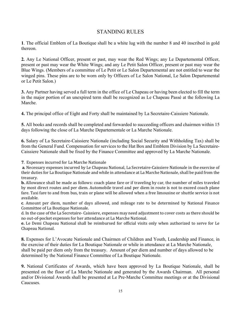## STANDING RULES

**1**. The official Emblem of La Boutique shall be a white lug with the number 8 and 40 inscribed in gold thereon.

**2***.* Any Le National Officer, present or past, may wear the Red Wings; any Le Departemental Officer, present or past may wear the White Wings; and any Le Petit Salon Officer, present or past may wear the Blue Wings. (Members of a committee of Le Petit or Le Salon Departemental are not entitled to wear the winged pins. These pins are to be worn only by Officers of Le Salon National, Le Salon Departemental or Le Petit Salon.)

**3.** Any Partner having served a full term in the office of Le Chapeau or having been elected to fill the term in the major portion of an unexpired term shall be recognized as Le Chapeau Passé at the following La Marche.

**4.** The principal office of Eight and Forty shall be maintained by La Secretaire-Caissiere Nationale.

**5.** All books and records shall be completed and forwarded to succeeding officers and chairmen within 15 days following the close of La Marche Departementale or La Marche Nationale.

**6.** Salary of La Secretaire-Caissiere Nationale (including Social Security and Withholding Tax) shall be from the General Fund. Compensation for services to the Hat Box and Emblem Division by La Secretaire-Caissiere Nationale shall be fixed by the Finance Committee and approved by La Marche Nationale.

**7**. Expenses incurred for La Marche Nationale

**a**. Necessary expenses incurred by Le Chapeau National, La Secretaire-Caissiere Nationale in the exercise of their duties for La Boutique Nationale and while in attendance at La Marche Nationale, shall be paid from the treasury.

**b.** Allowance shall be made as follows: coach plane fare or if traveling by car, the number of miles traveled by most direct routes and per diem. Automobile travel and per diem in route is not to exceed coach plane fare. Taxi fare to and from bus, train or plane will be allowed when a free limousine or shuttle service is not available.

**c**. Amount per diem, number of days allowed, and mileage rate to be determined by National Finance Committee of La Boutique Nationale.

d. In the case of the La Secretaire- Caissiere, expenses may need adjustment to cover costs as there should be no out-of-pocket expenses for her attendance at La Marche National.

**e.** Le Demi Chapeau National shall be reimbursed for official visits only when authorized to serve for Le Chapeau National.

**8.** Expenses for L'Avocate Nationale and Chairmen of Children and Youth, Leadership and Finance, in the exercise of their duties for La Boutique Nationale or while in attendance at La Marche Nationale, shall be paid per diem only from the treasury. Amount of per diem and number of days allowed to be determined by the National Finance Committee of La Boutique Nationale.

**9.** National Certificates of Awards, which have been approved by La Boutique Nationale, shall be presented on the floor of La Marche Nationale and generated by the Awards Chairman. All personal and/or Divisional Awards shall be presented at Le Pre-Marche Committee meetings or at the Divisional Caucuses.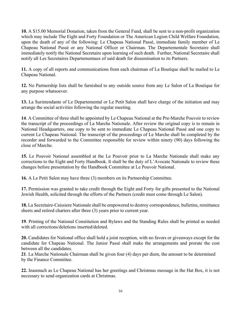**10.** A \$15.00 Memorial Donation, taken from the General Fund, shall be sent to a non-profit organization which may include The Eight and Forty Foundation or The American Legion Child Welfare Foundation, upon the death of any of the following: Le Chapeau National Passé, immediate family member of Le Chapeau National Passé or any National Officer or Chairman. The Departementale Secretaire shall immediately notify the National Secretaire upon learning of such death. Further, National Secretaire shall notify all Les Secretaires Departementaux of said death for dissemination to its Partners.

**11.** A copy of all reports and communications from each chairman of La Boutique shall be mailed to Le Chapeau National.

**12.** No Partnership lists shall be furnished to any outside source from any Le Salon of La Boutique for any purpose whatsoever.

**13.** La Surintendante of Le Departemental or Le Petit Salon shall have charge of the initiation and may arrange the social activities following the regular meeting.

**14**. A Committee of three shall be appointed by Le Chapeau National at the Pre-Marche Pouvoir to review the transcript of the proceedings of La Marche Nationale. After review the original copy is to remain in National Headquarters, one copy to be sent to immediate Le Chapeau National Passé and one copy to current Le Chapeau National. The transcript of the proceedings of Le Marche shall be completed by the recorder and forwarded to the Committee responsible for review within ninety (90) days following the close of Marche.

**15.** Le Pouvoir National assembled at the Le Pouvoir prior to La Marche Nationale shall make any corrections to the Eight and Forty Handbook. It shall be the duty of L'Avocate Nationale to review these changes before presentation by the Handbook Committee at Le Pouvoir National.

**16.** A Le Petit Salon may have three (3) members on its Partnership Committee.

**17.** Permission was granted to take credit through the Eight and Forty for gifts presented to the National Jewish Health, solicited through the efforts of the Partners (credit must come through Le Salon).

**18.** La Secretaire-Caissiere Nationale shall be empowered to destroy correspondence, bulletins, remittance sheets and retired charters after three (3) years prior to current year.

**19**. Printing of the National Constitution and Bylaws and the Standing Rules shall be printed as needed with all corrections/deletions inserted/deleted.

**20.** Candidates for National office shall hold a joint reception, with no favors or giveaways except for the candidate for Chapeau National. The Junior Passé shall make the arrangements and prorate the cost between all the candidates.

**21**. La Marche Nationale Chairman shall be given four (4) days per diem, the amount to be determined by the Finance Committee.

**22.** Inasmuch as Le Chapeau National has her greetings and Christmas message in the Hat Box, it is not necessary to send organization cards at Christmas.